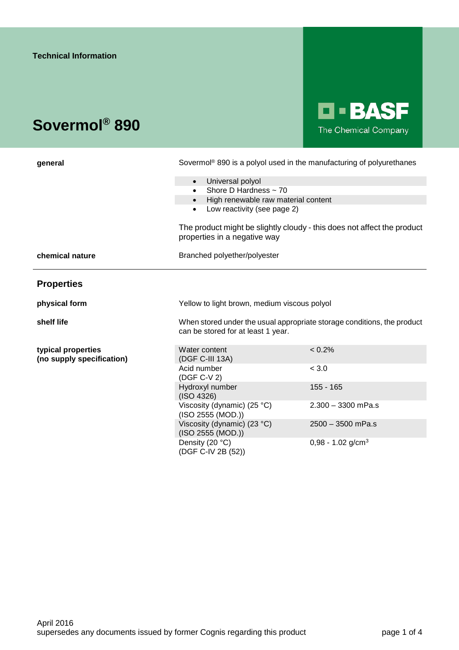# **Sovermol® 890**



| general                                         | Sovermol <sup>®</sup> 890 is a polyol used in the manufacturing of polyurethanes                              |                                 |  |
|-------------------------------------------------|---------------------------------------------------------------------------------------------------------------|---------------------------------|--|
|                                                 | • Universal polyol                                                                                            |                                 |  |
|                                                 | Shore D Hardness $\sim$ 70                                                                                    |                                 |  |
|                                                 | High renewable raw material content<br>$\bullet$                                                              |                                 |  |
|                                                 | Low reactivity (see page 2)<br>$\bullet$                                                                      |                                 |  |
|                                                 | The product might be slightly cloudy - this does not affect the product<br>properties in a negative way       |                                 |  |
| chemical nature                                 | Branched polyether/polyester                                                                                  |                                 |  |
| <b>Properties</b>                               |                                                                                                               |                                 |  |
| physical form                                   | Yellow to light brown, medium viscous polyol                                                                  |                                 |  |
| shelf life                                      | When stored under the usual appropriate storage conditions, the product<br>can be stored for at least 1 year. |                                 |  |
| typical properties<br>(no supply specification) | Water content<br>(DGF C-III 13A)                                                                              | < 0.2%                          |  |
|                                                 | Acid number<br>(DGF C-V 2)                                                                                    | < 3.0                           |  |
|                                                 | Hydroxyl number<br>(ISO 4326)                                                                                 | $155 - 165$                     |  |
|                                                 | Viscosity (dynamic) (25 °C)<br>(ISO 2555 (MOD.))                                                              | $2.300 - 3300$ mPa.s            |  |
|                                                 | Viscosity (dynamic) (23 °C)<br>(ISO 2555 (MOD.))                                                              | $2500 - 3500$ mPa.s             |  |
|                                                 | Density (20 °C)<br>(DGF C-IV 2B (52))                                                                         | $0,98 - 1.02$ g/cm <sup>3</sup> |  |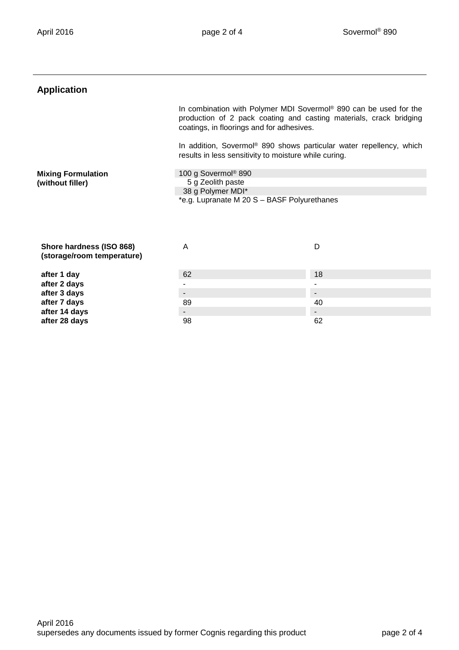# **Application**

In combination with Polymer MDI Sovermol® 890 can be used for the production of 2 pack coating and casting materials, crack bridging coatings, in floorings and for adhesives.

In addition, Sovermol® 890 shows particular water repellency, which results in less sensitivity to moisture while curing.

**Mixing Formulation (without filler)**

100 g Sovermol® 890 5 g Zeolith paste

38 g Polymer MDI\*

\*e.g. Lupranate M 20 S – BASF Polyurethanes

| Shore hardness (ISO 868)<br>(storage/room temperature) | A                        |                          |
|--------------------------------------------------------|--------------------------|--------------------------|
| after 1 day                                            | 62                       | 18                       |
| after 2 days                                           | $\overline{\phantom{a}}$ | $\overline{\phantom{a}}$ |
| after 3 days                                           | $\blacksquare$           |                          |
| after 7 days                                           | 89                       | 40                       |
| after 14 days                                          | $\overline{\phantom{a}}$ | $\overline{\phantom{a}}$ |
| after 28 days                                          | 98                       | 62                       |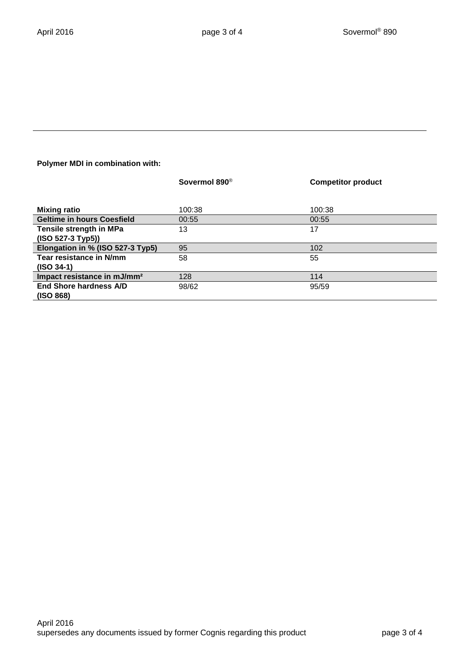## **Polymer MDI in combination with:**

|                                         | Sovermol 890 <sup>®</sup> | <b>Competitor product</b> |
|-----------------------------------------|---------------------------|---------------------------|
|                                         |                           |                           |
|                                         |                           |                           |
| <b>Mixing ratio</b>                     | 100:38                    | 100:38                    |
| <b>Geltime in hours Coesfield</b>       | 00:55                     | 00:55                     |
| Tensile strength in MPa                 | 13                        | 17                        |
| $(ISO 527-3 Type5))$                    |                           |                           |
| Elongation in % (ISO 527-3 Typ5)        | 95                        | 102                       |
| Tear resistance in N/mm                 | 58                        | 55                        |
| $(ISO 34-1)$                            |                           |                           |
| Impact resistance in mJ/mm <sup>2</sup> | 128                       | 114                       |
| End Shore hardness A/D                  | 98/62                     | 95/59                     |
| (ISO 868)                               |                           |                           |